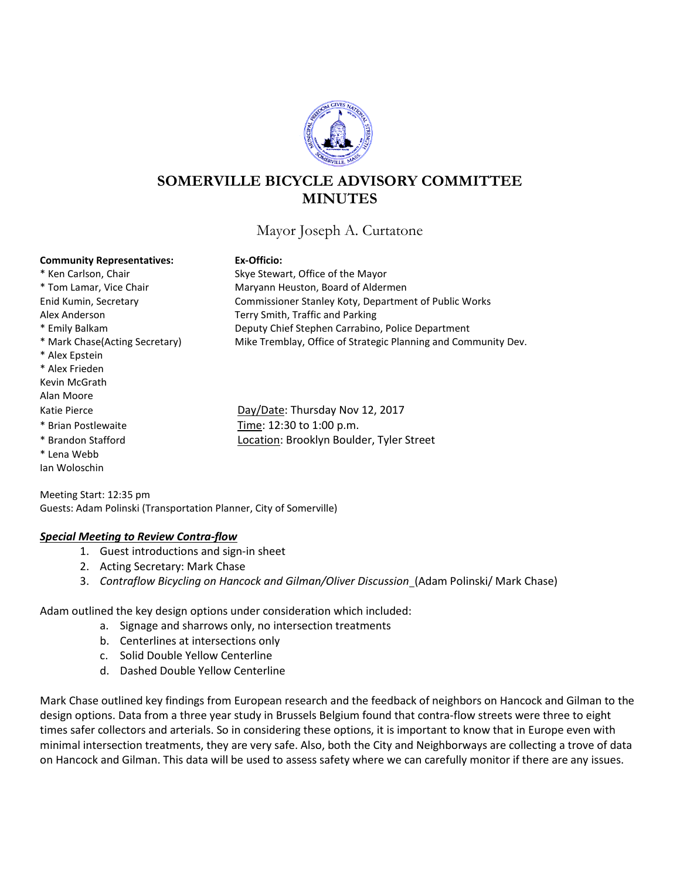

## **SOMERVILLE BICYCLE ADVISORY COMMITTEE MINUTES**

Mayor Joseph A. Curtatone

**Community Representatives: Ex-Officio:**<br> **Ex-Officio:**<br> **Ex-Officio:**<br> **Ex-Officio:** Alex Anderson Terry Smith, Traffic and Parking \* Alex Epstein \* Alex Frieden Kevin McGrath Alan Moore \* Brian Postlewaite Time: 12:30 to 1:00 p.m. \* Lena Webb

Ian Woloschin

Skye Stewart, Office of the Mayor \* Tom Lamar, Vice Chair **Maryann Heuston, Board of Aldermen** Enid Kumin, Secretary Commissioner Stanley Koty, Department of Public Works \* Emily Balkam Deputy Chief Stephen Carrabino, Police Department \* Mark Chase(Acting Secretary) Mike Tremblay, Office of Strategic Planning and Community Dev.

Katie Pierce **Day/Date: Thursday Nov 12, 2017** \* Brandon Stafford Location: Brooklyn Boulder, Tyler Street

Meeting Start: 12:35 pm Guests: Adam Polinski (Transportation Planner, City of Somerville)

## *Special Meeting to Review Contra-flow*

- 1. Guest introductions and sign-in sheet
- 2. Acting Secretary: Mark Chase
- 3. *Contraflow Bicycling on Hancock and Gilman/Oliver Discussion* (Adam Polinski/ Mark Chase)

Adam outlined the key design options under consideration which included:

- a. Signage and sharrows only, no intersection treatments
- b. Centerlines at intersections only
- c. Solid Double Yellow Centerline
- d. Dashed Double Yellow Centerline

Mark Chase outlined key findings from European research and the feedback of neighbors on Hancock and Gilman to the design options. Data from a three year study in Brussels Belgium found that contra-flow streets were three to eight times safer collectors and arterials. So in considering these options, it is important to know that in Europe even with minimal intersection treatments, they are very safe. Also, both the City and Neighborways are collecting a trove of data on Hancock and Gilman. This data will be used to assess safety where we can carefully monitor if there are any issues.